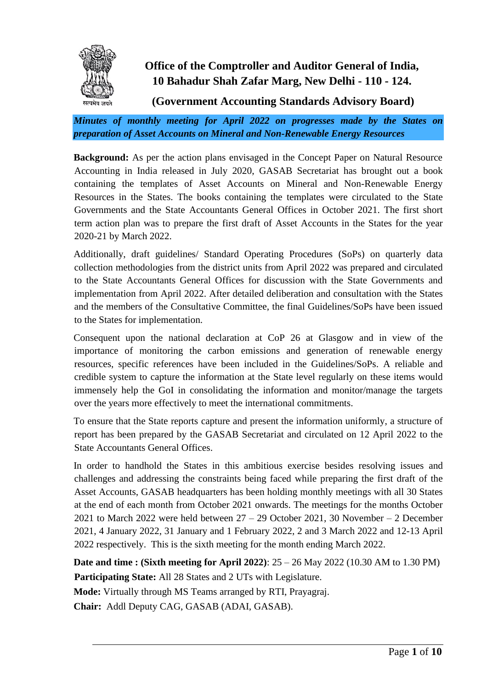

#### **Office of the Comptroller and Auditor General of India, 10 Bahadur Shah Zafar Marg, New Delhi - 110 - 124.**

**(Government Accounting Standards Advisory Board)**

*Minutes of monthly meeting for April 2022 on progresses made by the States on preparation of Asset Accounts on Mineral and Non-Renewable Energy Resources*

**Background:** As per the action plans envisaged in the Concept Paper on Natural Resource Accounting in India released in July 2020, GASAB Secretariat has brought out a book containing the templates of Asset Accounts on Mineral and Non-Renewable Energy Resources in the States. The books containing the templates were circulated to the State Governments and the State Accountants General Offices in October 2021. The first short term action plan was to prepare the first draft of Asset Accounts in the States for the year 2020-21 by March 2022.

Additionally, draft guidelines/ Standard Operating Procedures (SoPs) on quarterly data collection methodologies from the district units from April 2022 was prepared and circulated to the State Accountants General Offices for discussion with the State Governments and implementation from April 2022. After detailed deliberation and consultation with the States and the members of the Consultative Committee, the final Guidelines/SoPs have been issued to the States for implementation.

Consequent upon the national declaration at CoP 26 at Glasgow and in view of the importance of monitoring the carbon emissions and generation of renewable energy resources, specific references have been included in the Guidelines/SoPs. A reliable and credible system to capture the information at the State level regularly on these items would immensely help the GoI in consolidating the information and monitor/manage the targets over the years more effectively to meet the international commitments.

To ensure that the State reports capture and present the information uniformly, a structure of report has been prepared by the GASAB Secretariat and circulated on 12 April 2022 to the State Accountants General Offices.

In order to handhold the States in this ambitious exercise besides resolving issues and challenges and addressing the constraints being faced while preparing the first draft of the Asset Accounts, GASAB headquarters has been holding monthly meetings with all 30 States at the end of each month from October 2021 onwards. The meetings for the months October 2021 to March 2022 were held between 27 – 29 October 2021, 30 November – 2 December 2021, 4 January 2022, 31 January and 1 February 2022, 2 and 3 March 2022 and 12-13 April 2022 respectively. This is the sixth meeting for the month ending March 2022.

**Date and time : (Sixth meeting for April 2022)**: 25 – 26 May 2022 (10.30 AM to 1.30 PM) **Participating State:** All 28 States and 2 UTs with Legislature.

**Mode:** Virtually through MS Teams arranged by RTI, Prayagraj.

**Chair:** Addl Deputy CAG, GASAB (ADAI, GASAB).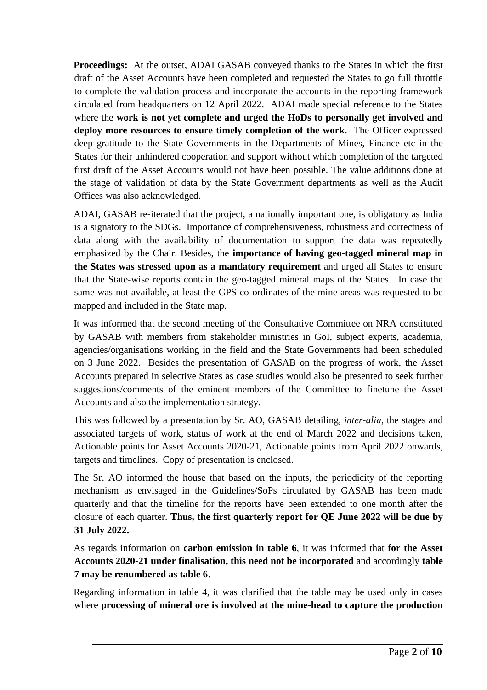**Proceedings:** At the outset, ADAI GASAB conveyed thanks to the States in which the first draft of the Asset Accounts have been completed and requested the States to go full throttle to complete the validation process and incorporate the accounts in the reporting framework circulated from headquarters on 12 April 2022. ADAI made special reference to the States where the **work is not yet complete and urged the HoDs to personally get involved and deploy more resources to ensure timely completion of the work**. The Officer expressed deep gratitude to the State Governments in the Departments of Mines, Finance etc in the States for their unhindered cooperation and support without which completion of the targeted first draft of the Asset Accounts would not have been possible. The value additions done at the stage of validation of data by the State Government departments as well as the Audit Offices was also acknowledged.

ADAI, GASAB re-iterated that the project, a nationally important one, is obligatory as India is a signatory to the SDGs. Importance of comprehensiveness, robustness and correctness of data along with the availability of documentation to support the data was repeatedly emphasized by the Chair. Besides, the **importance of having geo-tagged mineral map in the States was stressed upon as a mandatory requirement** and urged all States to ensure that the State-wise reports contain the geo-tagged mineral maps of the States. In case the same was not available, at least the GPS co-ordinates of the mine areas was requested to be mapped and included in the State map.

It was informed that the second meeting of the Consultative Committee on NRA constituted by GASAB with members from stakeholder ministries in GoI, subject experts, academia, agencies/organisations working in the field and the State Governments had been scheduled on 3 June 2022. Besides the presentation of GASAB on the progress of work, the Asset Accounts prepared in selective States as case studies would also be presented to seek further suggestions/comments of the eminent members of the Committee to finetune the Asset Accounts and also the implementation strategy.

This was followed by a presentation by Sr. AO, GASAB detailing, *inter-alia*, the stages and associated targets of work, status of work at the end of March 2022 and decisions taken, Actionable points for Asset Accounts 2020-21, Actionable points from April 2022 onwards, targets and timelines. Copy of presentation is enclosed.

The Sr. AO informed the house that based on the inputs, the periodicity of the reporting mechanism as envisaged in the Guidelines/SoPs circulated by GASAB has been made quarterly and that the timeline for the reports have been extended to one month after the closure of each quarter. **Thus, the first quarterly report for QE June 2022 will be due by 31 July 2022.**

As regards information on **carbon emission in table 6**, it was informed that **for the Asset Accounts 2020-21 under finalisation, this need not be incorporated** and accordingly **table 7 may be renumbered as table 6**.

Regarding information in table 4, it was clarified that the table may be used only in cases where **processing of mineral ore is involved at the mine-head to capture the production**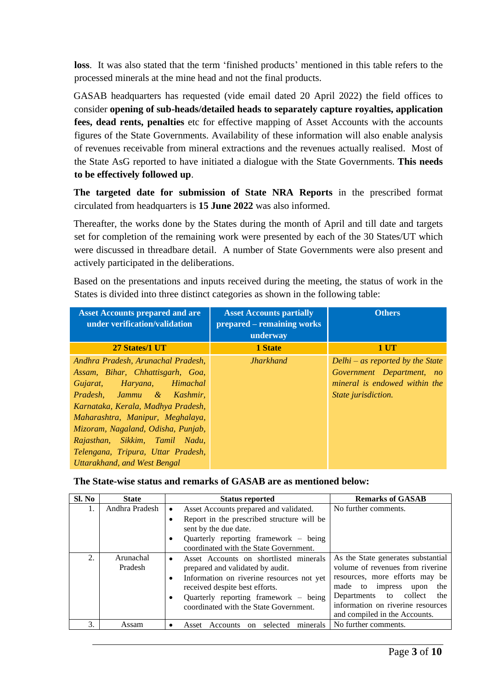**loss**. It was also stated that the term 'finished products' mentioned in this table refers to the processed minerals at the mine head and not the final products.

GASAB headquarters has requested (vide email dated 20 April 2022) the field offices to consider **opening of sub-heads/detailed heads to separately capture royalties, application fees, dead rents, penalties** etc for effective mapping of Asset Accounts with the accounts figures of the State Governments. Availability of these information will also enable analysis of revenues receivable from mineral extractions and the revenues actually realised. Most of the State AsG reported to have initiated a dialogue with the State Governments. **This needs to be effectively followed up**.

**The targeted date for submission of State NRA Reports** in the prescribed format circulated from headquarters is **15 June 2022** was also informed.

Thereafter, the works done by the States during the month of April and till date and targets set for completion of the remaining work were presented by each of the 30 States/UT which were discussed in threadbare detail. A number of State Governments were also present and actively participated in the deliberations.

Based on the presentations and inputs received during the meeting, the status of work in the States is divided into three distinct categories as shown in the following table:

| <b>Asset Accounts prepared and are</b><br>under verification/validation                                                                                                                                                                                                                                                                                   | <b>Asset Accounts partially</b><br>prepared – remaining works<br>underway | <b>Others</b>                                                                                                                |
|-----------------------------------------------------------------------------------------------------------------------------------------------------------------------------------------------------------------------------------------------------------------------------------------------------------------------------------------------------------|---------------------------------------------------------------------------|------------------------------------------------------------------------------------------------------------------------------|
| 27 States/1 UT                                                                                                                                                                                                                                                                                                                                            | 1 State                                                                   | 1 UT                                                                                                                         |
| Andhra Pradesh, Arunachal Pradesh,<br>Assam, Bihar, Chhattisgarh, Goa,<br>Gujarat, Haryana, Himachal<br>Pradesh, Jammu & Kashmir,<br>Karnataka, Kerala, Madhya Pradesh,<br>Maharashtra, Manipur, Meghalaya,<br>Mizoram, Nagaland, Odisha, Punjab,<br>Rajasthan, Sikkim, Tamil Nadu,<br>Telengana, Tripura, Uttar Pradesh,<br>Uttarakhand, and West Bengal | <b>Jharkhand</b>                                                          | Delhi – as reported by the State<br>Government Department, no<br>mineral is endowed within the<br><i>State jurisdiction.</i> |

**The State-wise status and remarks of GASAB are as mentioned below:** 

| Sl. No | <b>State</b>         | <b>Status reported</b>                                                                                                                                                                                                                            | <b>Remarks of GASAB</b>                                                                                                                                                                                                                     |  |
|--------|----------------------|---------------------------------------------------------------------------------------------------------------------------------------------------------------------------------------------------------------------------------------------------|---------------------------------------------------------------------------------------------------------------------------------------------------------------------------------------------------------------------------------------------|--|
| 1.     | Andhra Pradesh       | Asset Accounts prepared and validated.<br>$\bullet$                                                                                                                                                                                               | No further comments.                                                                                                                                                                                                                        |  |
|        |                      | Report in the prescribed structure will be<br>sent by the due date.<br>Quarterly reporting framework – being<br>coordinated with the State Government.                                                                                            |                                                                                                                                                                                                                                             |  |
| 2.     | Arunachal<br>Pradesh | Asset Accounts on shortlisted minerals<br>prepared and validated by audit.<br>Information on riverine resources not yet<br>٠<br>received despite best efforts.<br>Quarterly reporting framework – being<br>coordinated with the State Government. | As the State generates substantial<br>volume of revenues from riverine<br>resources, more efforts may be<br>made to impress upon<br>the<br>Departments to collect the<br>information on riverine resources<br>and compiled in the Accounts. |  |
| 3.     | Assam                | selected<br>minerals<br>Accounts<br>Asset<br>on                                                                                                                                                                                                   | No further comments.                                                                                                                                                                                                                        |  |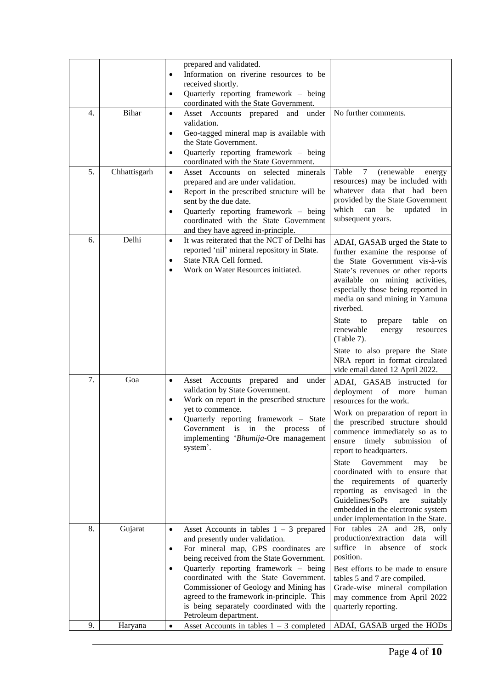| 4. | <b>Bihar</b> | prepared and validated.<br>Information on riverine resources to be<br>٠<br>received shortly.<br>Quarterly reporting framework – being<br>٠<br>coordinated with the State Government.<br>Asset Accounts prepared and<br>under<br>$\bullet$                                                                                                                                                                                                | No further comments.                                                                                                                                                                                                                                                                                                                                                                                                                                                                                                |
|----|--------------|------------------------------------------------------------------------------------------------------------------------------------------------------------------------------------------------------------------------------------------------------------------------------------------------------------------------------------------------------------------------------------------------------------------------------------------|---------------------------------------------------------------------------------------------------------------------------------------------------------------------------------------------------------------------------------------------------------------------------------------------------------------------------------------------------------------------------------------------------------------------------------------------------------------------------------------------------------------------|
|    |              | validation.<br>Geo-tagged mineral map is available with<br>٠<br>the State Government.<br>Quarterly reporting framework – being<br>$\bullet$<br>coordinated with the State Government.                                                                                                                                                                                                                                                    |                                                                                                                                                                                                                                                                                                                                                                                                                                                                                                                     |
| 5. | Chhattisgarh | Asset Accounts on selected minerals<br>$\bullet$<br>prepared and are under validation.<br>Report in the prescribed structure will be<br>٠<br>sent by the due date.<br>Quarterly reporting framework – being<br>coordinated with the State Government<br>and they have agreed in-principle.                                                                                                                                               | Table<br>7<br>(renewable<br>energy<br>resources) may be included with<br>whatever data that had been<br>provided by the State Government<br>which can<br>be<br>updated<br>in<br>subsequent years.                                                                                                                                                                                                                                                                                                                   |
| 6. | Delhi        | It was reiterated that the NCT of Delhi has<br>$\bullet$<br>reported 'nil' mineral repository in State.<br>State NRA Cell formed.<br>٠<br>Work on Water Resources initiated.                                                                                                                                                                                                                                                             | ADAI, GASAB urged the State to<br>further examine the response of<br>the State Government vis-à-vis<br>State's revenues or other reports<br>available on mining activities,<br>especially those being reported in<br>media on sand mining in Yamuna<br>riverbed.<br><b>State</b><br>table<br>to<br>prepare<br>on<br>renewable<br>energy<br>resources<br>$(Table 7)$ .                                                                                                                                               |
|    |              |                                                                                                                                                                                                                                                                                                                                                                                                                                          | State to also prepare the State<br>NRA report in format circulated<br>vide email dated 12 April 2022.                                                                                                                                                                                                                                                                                                                                                                                                               |
| 7. | Goa          | Asset Accounts prepared<br>and<br>under<br>$\bullet$<br>validation by State Government.<br>Work on report in the prescribed structure<br>yet to commence.<br>Quarterly reporting framework - State<br>Government is in<br>the<br>process<br>Οİ<br>implementing 'Bhumija-Ore management<br>system'.                                                                                                                                       | ADAI, GASAB instructed for<br>deployment of more<br>human<br>resources for the work.<br>Work on preparation of report in<br>the prescribed structure should<br>commence immediately so as to<br>ensure timely submission<br>of<br>report to headquarters.<br>Government<br>State<br>may<br>be<br>coordinated with to ensure that<br>the requirements of quarterly<br>reporting as envisaged in the<br>Guidelines/SoPs<br>are<br>suitably<br>embedded in the electronic system<br>under implementation in the State. |
| 8. | Gujarat      | Asset Accounts in tables $1 - 3$ prepared<br>$\bullet$<br>and presently under validation.<br>For mineral map, GPS coordinates are<br>٠<br>being received from the State Government.<br>Quarterly reporting framework – being<br>٠<br>coordinated with the State Government.<br>Commissioner of Geology and Mining has<br>agreed to the framework in-principle. This<br>is being separately coordinated with the<br>Petroleum department. | For tables 2A and 2B, only<br>production/extraction<br>data will<br>suffice in<br>absence<br>of stock<br>position.<br>Best efforts to be made to ensure<br>tables 5 and 7 are compiled.<br>Grade-wise mineral compilation<br>may commence from April 2022<br>quarterly reporting.                                                                                                                                                                                                                                   |
| 9. | Haryana      | Asset Accounts in tables $1 - 3$ completed<br>$\bullet$                                                                                                                                                                                                                                                                                                                                                                                  | ADAI, GASAB urged the HODs                                                                                                                                                                                                                                                                                                                                                                                                                                                                                          |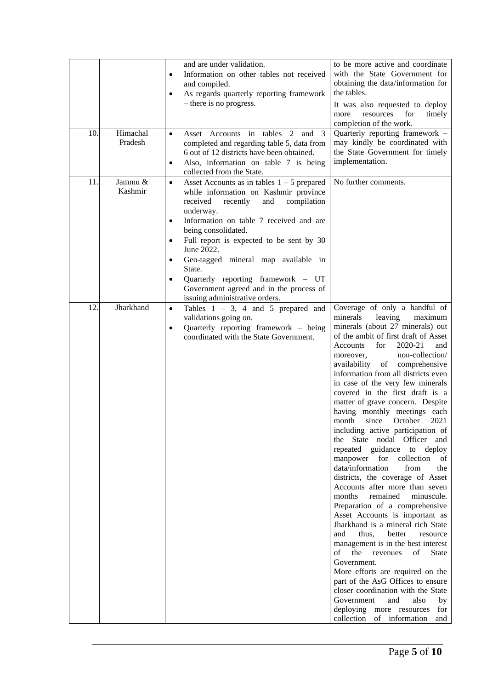|     |                     | and are under validation.<br>Information on other tables not received<br>$\bullet$<br>and compiled.<br>As regards quarterly reporting framework<br>$\bullet$<br>– there is no progress.                                                                                                                                                                                                                                                                                                      | to be more active and coordinate<br>with the State Government for<br>obtaining the data/information for<br>the tables.<br>It was also requested to deploy<br>for<br>resources<br>timely<br>more<br>completion of the work.                                                                                                                                                                                                                                                                                                                                                                                                                                                                                                                                                                                                                                                                                                                                                                                                                                                                                                                                                                                                                  |
|-----|---------------------|----------------------------------------------------------------------------------------------------------------------------------------------------------------------------------------------------------------------------------------------------------------------------------------------------------------------------------------------------------------------------------------------------------------------------------------------------------------------------------------------|---------------------------------------------------------------------------------------------------------------------------------------------------------------------------------------------------------------------------------------------------------------------------------------------------------------------------------------------------------------------------------------------------------------------------------------------------------------------------------------------------------------------------------------------------------------------------------------------------------------------------------------------------------------------------------------------------------------------------------------------------------------------------------------------------------------------------------------------------------------------------------------------------------------------------------------------------------------------------------------------------------------------------------------------------------------------------------------------------------------------------------------------------------------------------------------------------------------------------------------------|
| 10. | Himachal<br>Pradesh | Asset Accounts in tables 2 and<br>3<br>$\bullet$<br>completed and regarding table 5, data from<br>6 out of 12 districts have been obtained.<br>Also, information on table 7 is being<br>$\bullet$<br>collected from the State.                                                                                                                                                                                                                                                               | Quarterly reporting framework -<br>may kindly be coordinated with<br>the State Government for timely<br>implementation.                                                                                                                                                                                                                                                                                                                                                                                                                                                                                                                                                                                                                                                                                                                                                                                                                                                                                                                                                                                                                                                                                                                     |
| 11. | Jammu &<br>Kashmir  | Asset Accounts as in tables $1 - 5$ prepared<br>$\bullet$<br>while information on Kashmir province<br>received<br>compilation<br>recently<br>and<br>underway.<br>Information on table 7 received and are<br>٠<br>being consolidated.<br>Full report is expected to be sent by 30<br>$\bullet$<br>June 2022.<br>Geo-tagged mineral map available in<br>$\bullet$<br>State.<br>Quarterly reporting framework - UT<br>Government agreed and in the process of<br>issuing administrative orders. | No further comments.                                                                                                                                                                                                                                                                                                                                                                                                                                                                                                                                                                                                                                                                                                                                                                                                                                                                                                                                                                                                                                                                                                                                                                                                                        |
| 12. | Jharkhand           | Tables $1 - 3$ , 4 and 5 prepared and<br>$\bullet$<br>validations going on.<br>Quarterly reporting framework - being<br>$\bullet$<br>coordinated with the State Government.                                                                                                                                                                                                                                                                                                                  | Coverage of only a handful of<br>minerals<br>leaving<br>maximum<br>minerals (about 27 minerals) out<br>of the ambit of first draft of Asset<br>2020-21<br>Accounts<br>for<br>and<br>non-collection/<br>moreover,<br>of comprehensive<br>availability<br>information from all districts even<br>in case of the very few minerals<br>covered in the first draft is a<br>matter of grave concern. Despite<br>having monthly meetings each<br>since<br>October<br>2021<br>month<br>including active participation of<br>the State nodal Officer and<br>repeated guidance to deploy<br>manpower<br>for<br>collection<br>of<br>data/information<br>from<br>the<br>districts, the coverage of Asset<br>Accounts after more than seven<br>months<br>remained<br>minuscule.<br>Preparation of a comprehensive<br>Asset Accounts is important as<br>Jharkhand is a mineral rich State<br>and<br>thus,<br>better<br>resource<br>management is in the best interest<br>of<br>the revenues<br>of<br><b>State</b><br>Government.<br>More efforts are required on the<br>part of the AsG Offices to ensure<br>closer coordination with the State<br>Government<br>and<br>also<br>by<br>deploying more resources<br>for<br>collection of information<br>and |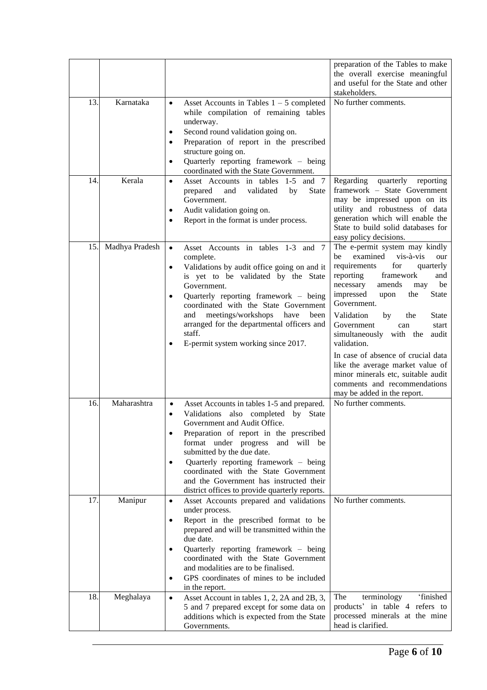|     |                |                                                                                                                                                                                                                                                                                                                                                                                                                                                             | preparation of the Tables to make<br>the overall exercise meaningful<br>and useful for the State and other<br>stakeholders.                                                                                                                                                                                                                                                                                                                                                                                                                         |
|-----|----------------|-------------------------------------------------------------------------------------------------------------------------------------------------------------------------------------------------------------------------------------------------------------------------------------------------------------------------------------------------------------------------------------------------------------------------------------------------------------|-----------------------------------------------------------------------------------------------------------------------------------------------------------------------------------------------------------------------------------------------------------------------------------------------------------------------------------------------------------------------------------------------------------------------------------------------------------------------------------------------------------------------------------------------------|
| 13. | Karnataka      | Asset Accounts in Tables $1 - 5$ completed<br>$\bullet$<br>while compilation of remaining tables<br>underway.<br>Second round validation going on.<br>$\bullet$<br>Preparation of report in the prescribed<br>٠<br>structure going on.<br>Quarterly reporting framework - being<br>٠<br>coordinated with the State Government.                                                                                                                              | No further comments.                                                                                                                                                                                                                                                                                                                                                                                                                                                                                                                                |
| 14. | Kerala         | Asset Accounts in tables 1-5 and 7<br>$\bullet$<br>validated<br><b>State</b><br>prepared<br>and<br>by<br>Government.<br>Audit validation going on.<br>٠<br>Report in the format is under process.<br>٠                                                                                                                                                                                                                                                      | Regarding quarterly reporting<br>framework - State Government<br>may be impressed upon on its<br>utility and robustness of data<br>generation which will enable the<br>State to build solid databases for<br>easy policy decisions.                                                                                                                                                                                                                                                                                                                 |
| 15. | Madhya Pradesh | Asset Accounts in tables 1-3 and 7<br>$\bullet$<br>complete.<br>Validations by audit office going on and it<br>$\bullet$<br>is yet to be validated by the State<br>Government.<br>Quarterly reporting framework – being<br>$\bullet$<br>coordinated with the State Government<br>meetings/workshops<br>and<br>have<br>been<br>arranged for the departmental officers and<br>staff.<br>E-permit system working since 2017.                                   | The e-permit system may kindly<br>examined<br>vis-à-vis<br>be<br>our<br>requirements<br>for<br>quarterly<br>reporting<br>framework<br>and<br>necessary<br>amends<br>be<br>may<br>impressed<br>upon<br>the<br><b>State</b><br>Government.<br>Validation<br>the<br><b>State</b><br>by<br>Government<br>start<br>can<br>simultaneously with the<br>audit<br>validation.<br>In case of absence of crucial data<br>like the average market value of<br>minor minerals etc, suitable audit<br>comments and recommendations<br>may be added in the report. |
| 16. | Maharashtra    | Asset Accounts in tables 1-5 and prepared.<br>$\bullet$<br>Validations<br>also completed<br>by State<br>٠<br>Government and Audit Office.<br>Preparation of report in the prescribed<br>$\bullet$<br>format under progress<br>and will be<br>submitted by the due date.<br>Quarterly reporting framework - being<br>٠<br>coordinated with the State Government<br>and the Government has instructed their<br>district offices to provide quarterly reports. | No further comments.                                                                                                                                                                                                                                                                                                                                                                                                                                                                                                                                |
| 17. | Manipur        | Asset Accounts prepared and validations<br>$\bullet$<br>under process.<br>Report in the prescribed format to be<br>٠<br>prepared and will be transmitted within the<br>due date.<br>Quarterly reporting framework - being<br>٠<br>coordinated with the State Government<br>and modalities are to be finalised.<br>GPS coordinates of mines to be included<br>٠<br>in the report.                                                                            | No further comments.                                                                                                                                                                                                                                                                                                                                                                                                                                                                                                                                |
| 18. | Meghalaya      | Asset Account in tables 1, 2, 2A and 2B, 3,<br>$\bullet$<br>5 and 7 prepared except for some data on<br>additions which is expected from the State<br>Governments.                                                                                                                                                                                                                                                                                          | 'finished<br>The<br>terminology<br>products' in table 4 refers to<br>processed minerals at the mine<br>head is clarified.                                                                                                                                                                                                                                                                                                                                                                                                                           |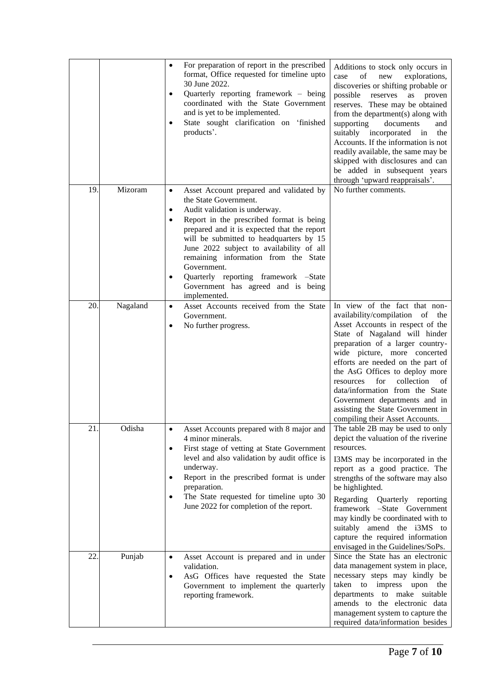|     |          | For preparation of report in the prescribed<br>$\bullet$<br>format, Office requested for timeline upto<br>30 June 2022.<br>Quarterly reporting framework - being<br>٠<br>coordinated with the State Government<br>and is yet to be implemented.<br>State sought clarification on 'finished<br>products'.                                                                                                                                                   | Additions to stock only occurs in<br>of<br>new<br>case<br>explorations,<br>discoveries or shifting probable or<br>possible<br>reserves<br>as<br>proven<br>reserves. These may be obtained<br>from the department(s) along with<br>supporting<br>documents<br>and<br>suitably<br>incorporated<br>the<br>in<br>Accounts. If the information is not<br>readily available, the same may be<br>skipped with disclosures and can<br>be added in subsequent years<br>through 'upward reappraisals'. |
|-----|----------|------------------------------------------------------------------------------------------------------------------------------------------------------------------------------------------------------------------------------------------------------------------------------------------------------------------------------------------------------------------------------------------------------------------------------------------------------------|----------------------------------------------------------------------------------------------------------------------------------------------------------------------------------------------------------------------------------------------------------------------------------------------------------------------------------------------------------------------------------------------------------------------------------------------------------------------------------------------|
| 19  | Mizoram  | Asset Account prepared and validated by<br>$\bullet$<br>the State Government.<br>Audit validation is underway.<br>٠<br>Report in the prescribed format is being<br>prepared and it is expected that the report<br>will be submitted to headquarters by 15<br>June 2022 subject to availability of all<br>remaining information from the State<br>Government.<br>Quarterly reporting framework -State<br>Government has agreed and is being<br>implemented. | No further comments.                                                                                                                                                                                                                                                                                                                                                                                                                                                                         |
| 20. | Nagaland | Asset Accounts received from the State<br>$\bullet$<br>Government.<br>No further progress.<br>$\bullet$                                                                                                                                                                                                                                                                                                                                                    | In view of the fact that non-<br>availability/compilation of<br>the<br>Asset Accounts in respect of the<br>State of Nagaland will hinder<br>preparation of a larger country-<br>wide picture, more concerted<br>efforts are needed on the part of<br>the AsG Offices to deploy more<br>collection<br>for<br>resources<br>of<br>data/information from the State<br>Government departments and in<br>assisting the State Government in<br>compiling their Asset Accounts.                      |
| 21. | Odisha   | Asset Accounts prepared with 8 major and<br>4 minor minerals.<br>First stage of vetting at State Government<br>$\bullet$<br>level and also validation by audit office is<br>underway.<br>Report in the prescribed format is under<br>٠<br>preparation.<br>The State requested for timeline upto 30<br>٠<br>June 2022 for completion of the report.                                                                                                         | The table 2B may be used to only<br>depict the valuation of the riverine<br>resources.<br>I3MS may be incorporated in the<br>report as a good practice. The<br>strengths of the software may also<br>be highlighted.<br>Regarding Quarterly reporting<br>framework -State Government<br>may kindly be coordinated with to<br>suitably amend the i3MS to<br>capture the required information<br>envisaged in the Guidelines/SoPs.                                                             |
| 22. | Punjab   | Asset Account is prepared and in under<br>$\bullet$<br>validation.<br>AsG Offices have requested the State<br>$\bullet$<br>Government to implement the quarterly<br>reporting framework.                                                                                                                                                                                                                                                                   | Since the State has an electronic<br>data management system in place,<br>necessary steps may kindly be<br>to impress<br>taken<br>upon<br>the<br>departments to make suitable<br>amends to the electronic data<br>management system to capture the<br>required data/information besides                                                                                                                                                                                                       |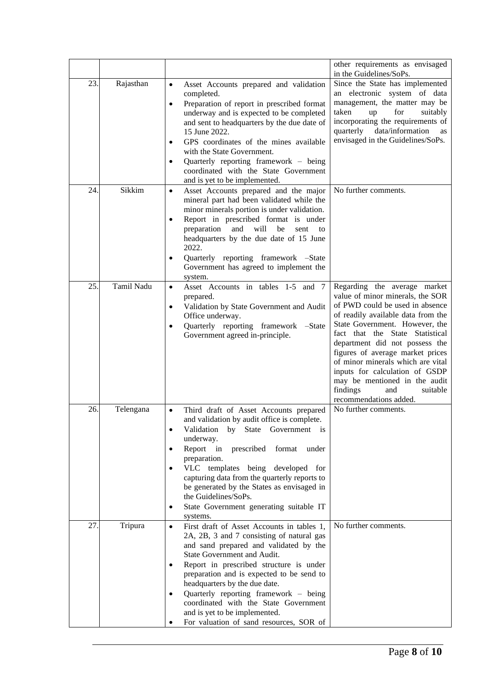|     |            |                                                                                                                                                                                                                                                                                                                                                                                                                                                                                   | other requirements as envisaged<br>in the Guidelines/SoPs.                                                                                                                                                                                                                                                                                                                                                                                            |
|-----|------------|-----------------------------------------------------------------------------------------------------------------------------------------------------------------------------------------------------------------------------------------------------------------------------------------------------------------------------------------------------------------------------------------------------------------------------------------------------------------------------------|-------------------------------------------------------------------------------------------------------------------------------------------------------------------------------------------------------------------------------------------------------------------------------------------------------------------------------------------------------------------------------------------------------------------------------------------------------|
| 23. | Rajasthan  | Asset Accounts prepared and validation<br>$\bullet$<br>completed.<br>Preparation of report in prescribed format<br>$\bullet$<br>underway and is expected to be completed<br>and sent to headquarters by the due date of<br>15 June 2022.<br>GPS coordinates of the mines available<br>$\bullet$<br>with the State Government.<br>Quarterly reporting framework – being<br>٠<br>coordinated with the State Government<br>and is yet to be implemented.                             | Since the State has implemented<br>an electronic system of data<br>management, the matter may be<br>taken<br>for<br>suitably<br>up<br>incorporating the requirements of<br>quarterly data/information<br>as<br>envisaged in the Guidelines/SoPs.                                                                                                                                                                                                      |
| 24. | Sikkim     | $\bullet$<br>Asset Accounts prepared and the major<br>mineral part had been validated while the<br>minor minerals portion is under validation.<br>Report in prescribed format is under<br>٠<br>preparation<br>and<br>will<br>be<br>sent<br>to<br>headquarters by the due date of 15 June<br>2022.<br>Quarterly reporting framework -State<br>٠<br>Government has agreed to implement the<br>system.                                                                               | No further comments.                                                                                                                                                                                                                                                                                                                                                                                                                                  |
| 25  | Tamil Nadu | Asset Accounts in tables 1-5 and 7<br>$\bullet$<br>prepared.<br>Validation by State Government and Audit<br>$\bullet$<br>Office underway.<br>Quarterly reporting framework -State<br>$\bullet$<br>Government agreed in-principle.                                                                                                                                                                                                                                                 | Regarding the average market<br>value of minor minerals, the SOR<br>of PWD could be used in absence<br>of readily available data from the<br>State Government. However, the<br>fact that the State Statistical<br>department did not possess the<br>figures of average market prices<br>of minor minerals which are vital<br>inputs for calculation of GSDP<br>may be mentioned in the audit<br>findings<br>and<br>suitable<br>recommendations added. |
| 26. | Telengana  | Third draft of Asset Accounts prepared<br>$\bullet$<br>and validation by audit office is complete.<br>Validation<br>State Government is<br>by<br>underway.<br>Report in prescribed<br>format<br>under<br>$\bullet$<br>preparation.<br>VLC templates being developed for<br>$\bullet$<br>capturing data from the quarterly reports to<br>be generated by the States as envisaged in<br>the Guidelines/SoPs.<br>State Government generating suitable IT<br>٠<br>systems.            | No further comments.                                                                                                                                                                                                                                                                                                                                                                                                                                  |
| 27. | Tripura    | First draft of Asset Accounts in tables 1,<br>$\bullet$<br>2A, 2B, 3 and 7 consisting of natural gas<br>and sand prepared and validated by the<br>State Government and Audit.<br>Report in prescribed structure is under<br>preparation and is expected to be send to<br>headquarters by the due date.<br>Quarterly reporting framework – being<br>$\bullet$<br>coordinated with the State Government<br>and is yet to be implemented.<br>For valuation of sand resources, SOR of | No further comments.                                                                                                                                                                                                                                                                                                                                                                                                                                  |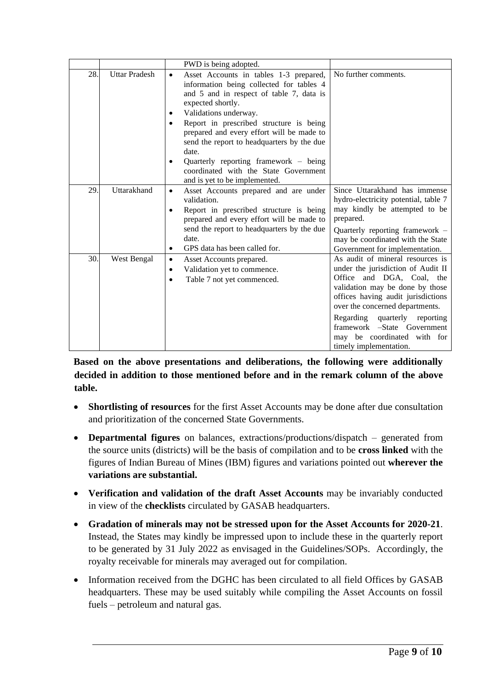|     |                      | PWD is being adopted.                                                                                                                                                                                                                                                                                                                                                                                                                                                 |                                                                                                                                                                                                                                                                                                                                             |
|-----|----------------------|-----------------------------------------------------------------------------------------------------------------------------------------------------------------------------------------------------------------------------------------------------------------------------------------------------------------------------------------------------------------------------------------------------------------------------------------------------------------------|---------------------------------------------------------------------------------------------------------------------------------------------------------------------------------------------------------------------------------------------------------------------------------------------------------------------------------------------|
| 28. | <b>Uttar Pradesh</b> | Asset Accounts in tables 1-3 prepared,<br>$\bullet$<br>information being collected for tables 4<br>and 5 and in respect of table 7, data is<br>expected shortly.<br>Validations underway.<br>٠<br>Report in prescribed structure is being<br>٠<br>prepared and every effort will be made to<br>send the report to headquarters by the due<br>date.<br>Quarterly reporting framework – being<br>coordinated with the State Government<br>and is yet to be implemented. | No further comments.                                                                                                                                                                                                                                                                                                                        |
| 29  | Uttarakhand          | Asset Accounts prepared and are under<br>$\bullet$<br>validation.<br>Report in prescribed structure is being<br>prepared and every effort will be made to<br>send the report to headquarters by the due<br>date.<br>GPS data has been called for.<br>٠                                                                                                                                                                                                                | Since Uttarakhand has immense<br>hydro-electricity potential, table 7<br>may kindly be attempted to be<br>prepared.<br>Quarterly reporting framework -<br>may be coordinated with the State<br>Government for implementation.                                                                                                               |
| 30. | West Bengal          | Asset Accounts prepared.<br>$\bullet$<br>Validation yet to commence.<br>٠<br>Table 7 not yet commenced.<br>٠                                                                                                                                                                                                                                                                                                                                                          | As audit of mineral resources is<br>under the jurisdiction of Audit II<br>Office and DGA, Coal, the<br>validation may be done by those<br>offices having audit jurisdictions<br>over the concerned departments.<br>Regarding<br>quarterly reporting<br>framework -State Government<br>may be coordinated with for<br>timely implementation. |

**Based on the above presentations and deliberations, the following were additionally decided in addition to those mentioned before and in the remark column of the above table.**

- **Shortlisting of resources** for the first Asset Accounts may be done after due consultation and prioritization of the concerned State Governments.
- **Departmental figures** on balances, extractions/productions/dispatch generated from the source units (districts) will be the basis of compilation and to be **cross linked** with the figures of Indian Bureau of Mines (IBM) figures and variations pointed out **wherever the variations are substantial.**
- **Verification and validation of the draft Asset Accounts** may be invariably conducted in view of the **checklists** circulated by GASAB headquarters.
- **Gradation of minerals may not be stressed upon for the Asset Accounts for 2020-21**. Instead, the States may kindly be impressed upon to include these in the quarterly report to be generated by 31 July 2022 as envisaged in the Guidelines/SOPs. Accordingly, the royalty receivable for minerals may averaged out for compilation.
- Information received from the DGHC has been circulated to all field Offices by GASAB headquarters. These may be used suitably while compiling the Asset Accounts on fossil fuels – petroleum and natural gas.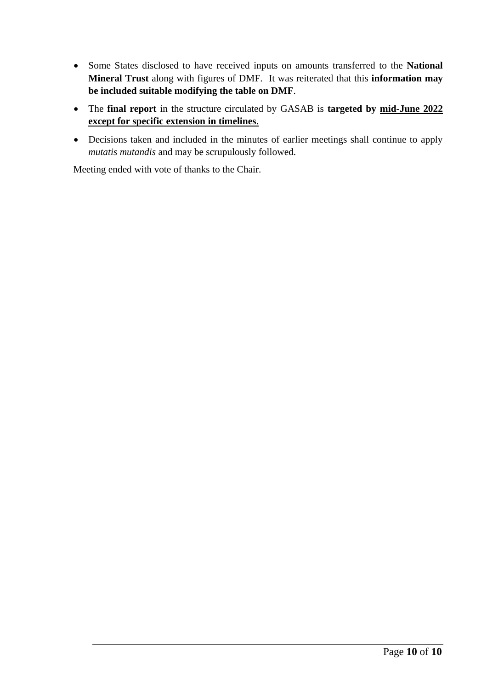- Some States disclosed to have received inputs on amounts transferred to the **National Mineral Trust** along with figures of DMF. It was reiterated that this **information may be included suitable modifying the table on DMF**.
- The **final report** in the structure circulated by GASAB is **targeted by mid-June 2022 except for specific extension in timelines**.
- Decisions taken and included in the minutes of earlier meetings shall continue to apply *mutatis mutandis* and may be scrupulously followed.

Meeting ended with vote of thanks to the Chair.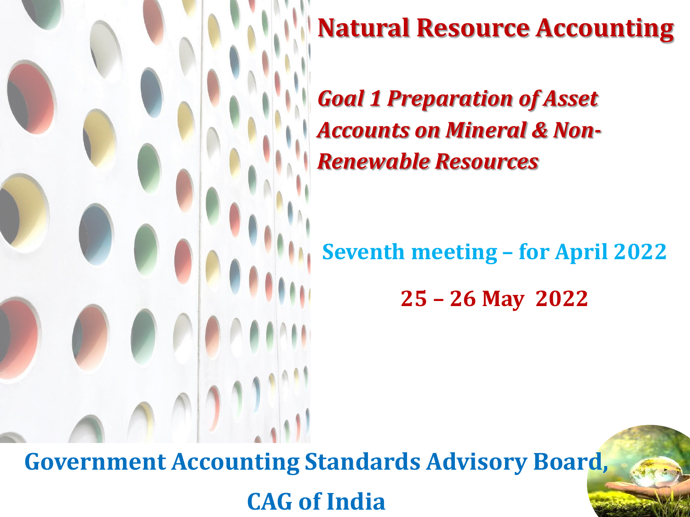

### **Natural Resource Accounting**

*Goal 1 Preparation of Asset Accounts on Mineral & Non-Renewable Resources*

**Seventh meeting – for April 2022** 

**25 – 26 May 2022**

**Government Accounting Standards Advisory Board, CAG of India**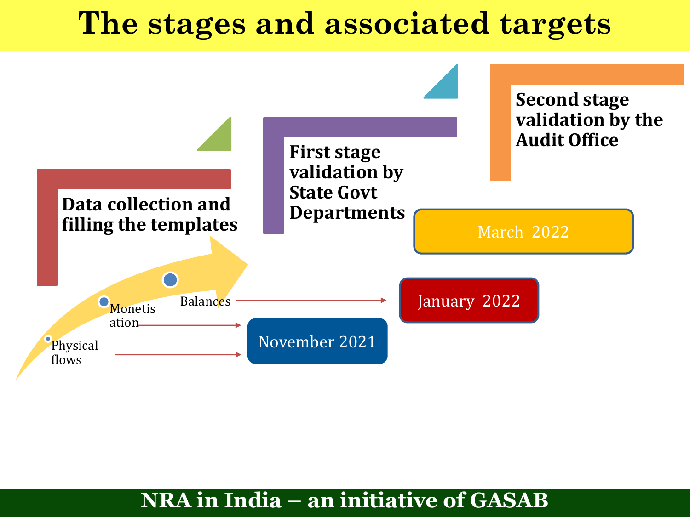### **The stages and associated targets**

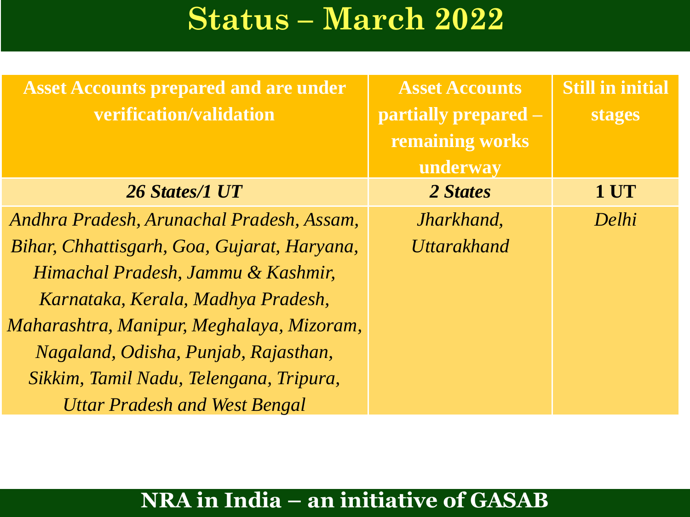### **Status – March 2022**

| <b>Asset Accounts prepared and are under</b><br>verification/validation | <b>Asset Accounts</b><br><b>partially prepared –</b><br>remaining works<br>underway | <b>Still in initial</b><br><b>stages</b> |
|-------------------------------------------------------------------------|-------------------------------------------------------------------------------------|------------------------------------------|
| 26 States/1 UT                                                          | 2 States                                                                            | 1 UT                                     |
| Andhra Pradesh, Arunachal Pradesh, Assam,                               | Jharkhand,                                                                          | Delhi                                    |
| Bihar, Chhattisgarh, Goa, Gujarat, Haryana,                             | <b>Uttarakhand</b>                                                                  |                                          |
| Himachal Pradesh, Jammu & Kashmir,                                      |                                                                                     |                                          |
| Karnataka, Kerala, Madhya Pradesh,                                      |                                                                                     |                                          |
| Maharashtra, Manipur, Meghalaya, Mizoram,                               |                                                                                     |                                          |
| Nagaland, Odisha, Punjab, Rajasthan,                                    |                                                                                     |                                          |
| Sikkim, Tamil Nadu, Telengana, Tripura,                                 |                                                                                     |                                          |
| <b>Uttar Pradesh and West Bengal</b>                                    |                                                                                     |                                          |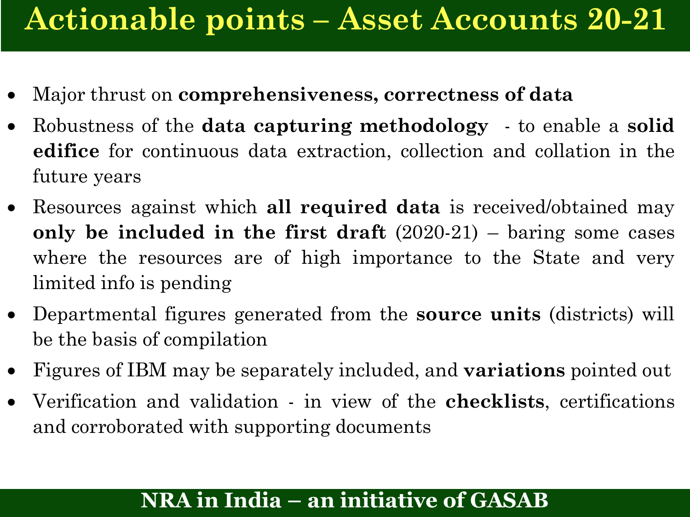### **Actionable points – Asset Accounts 20-21**

- Major thrust on **comprehensiveness, correctness of data**
- Robustness of the **data capturing methodology** to enable a **solid edifice** for continuous data extraction, collection and collation in the future years
- Resources against which **all required data** is received/obtained may **only be included in the first draft** (2020-21) – baring some cases where the resources are of high importance to the State and very limited info is pending
- Departmental figures generated from the **source units** (districts) will be the basis of compilation
- Figures of IBM may be separately included, and **variations** pointed out
- Verification and validation in view of the **checklists**, certifications and corroborated with supporting documents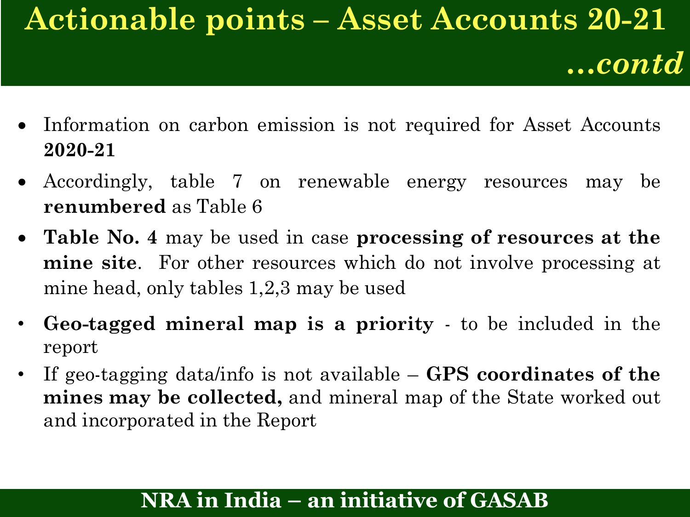## **Actionable points – Asset Accounts 20-21**

*…contd*

- Information on carbon emission is not required for Asset Accounts **2020-21**
- Accordingly, table 7 on renewable energy resources may be **renumbered** as Table 6
- **Table No. 4** may be used in case **processing of resources at the mine site**. For other resources which do not involve processing at mine head, only tables 1,2,3 may be used
- **Geo-tagged mineral map is a priority** to be included in the report
- If geo-tagging data/info is not available **GPS coordinates of the mines may be collected,** and mineral map of the State worked out and incorporated in the Report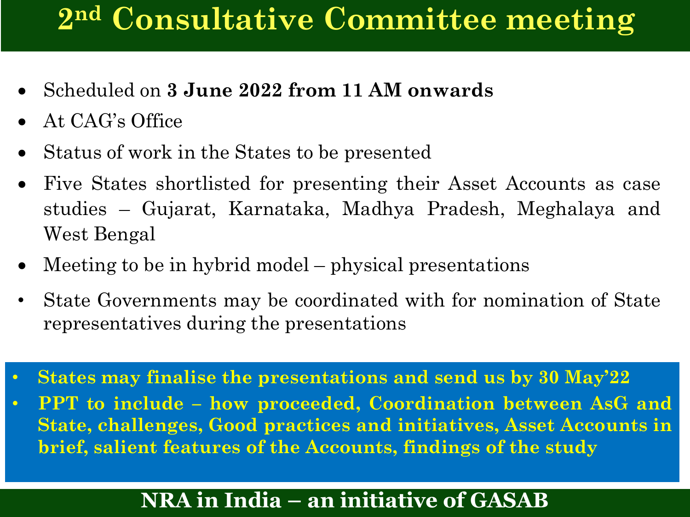### **2 nd Consultative Committee meeting**

- Scheduled on **3 June 2022 from 11 AM onwards**
- At CAG's Office
- Status of work in the States to be presented
- Five States shortlisted for presenting their Asset Accounts as case studies – Gujarat, Karnataka, Madhya Pradesh, Meghalaya and West Bengal
- Meeting to be in hybrid model physical presentations
- State Governments may be coordinated with for nomination of State representatives during the presentations
- **States may finalise the presentations and send us by 30 May'22**
- **PPT to include – how proceeded, Coordination between AsG and State, challenges, Good practices and initiatives, Asset Accounts in brief, salient features of the Accounts, findings of the study**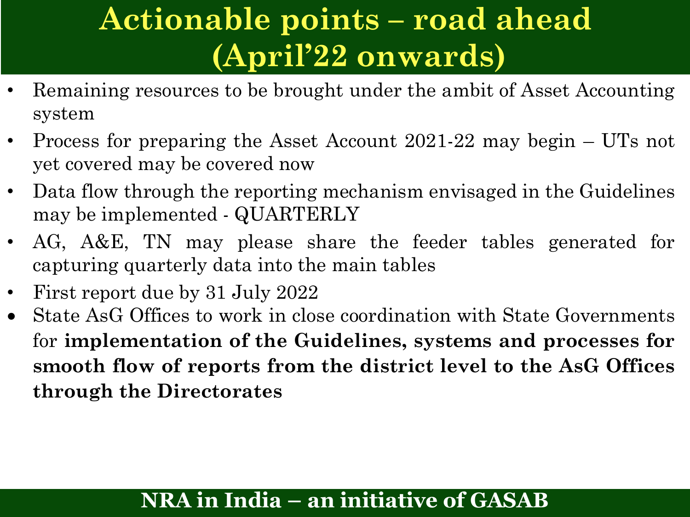## **Actionable points – road ahead (April'22 onwards)**

- Remaining resources to be brought under the ambit of Asset Accounting system
- Process for preparing the Asset Account 2021-22 may begin UTs not yet covered may be covered now
- Data flow through the reporting mechanism envisaged in the Guidelines may be implemented - QUARTERLY
- AG, A&E, TN may please share the feeder tables generated for capturing quarterly data into the main tables
- First report due by 31 July 2022
- State AsG Offices to work in close coordination with State Governments for **implementation of the Guidelines, systems and processes for smooth flow of reports from the district level to the AsG Offices through the Directorates**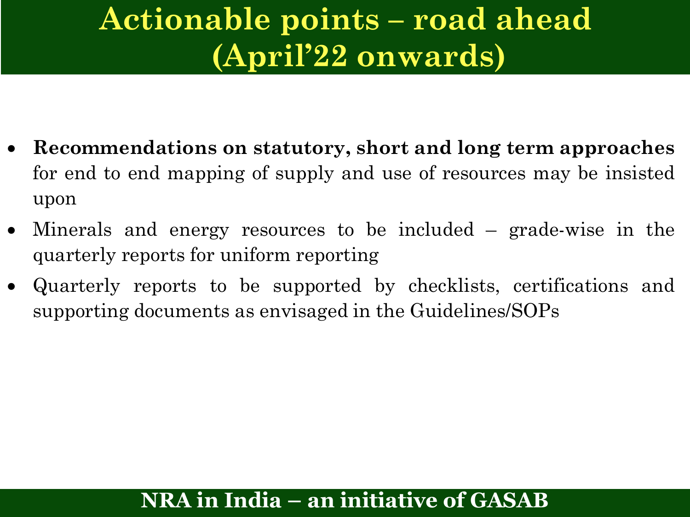### **Actionable points – road ahead (April'22 onwards)**

- **Recommendations on statutory, short and long term approaches** for end to end mapping of supply and use of resources may be insisted upon
- Minerals and energy resources to be included grade-wise in the quarterly reports for uniform reporting
- Quarterly reports to be supported by checklists, certifications and supporting documents as envisaged in the Guidelines/SOPs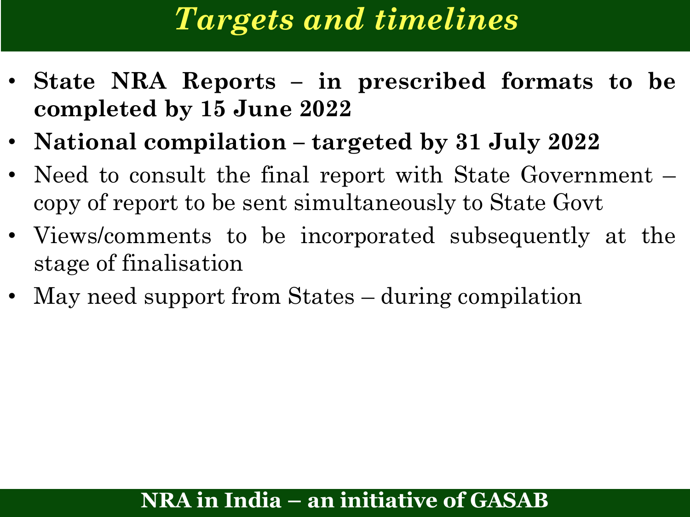### *Targets and timelines*

- **State NRA Reports – in prescribed formats to be completed by 15 June 2022**
- **National compilation – targeted by 31 July 2022**
- Need to consult the final report with State Government copy of report to be sent simultaneously to State Govt
- Views/comments to be incorporated subsequently at the stage of finalisation
- May need support from States during compilation